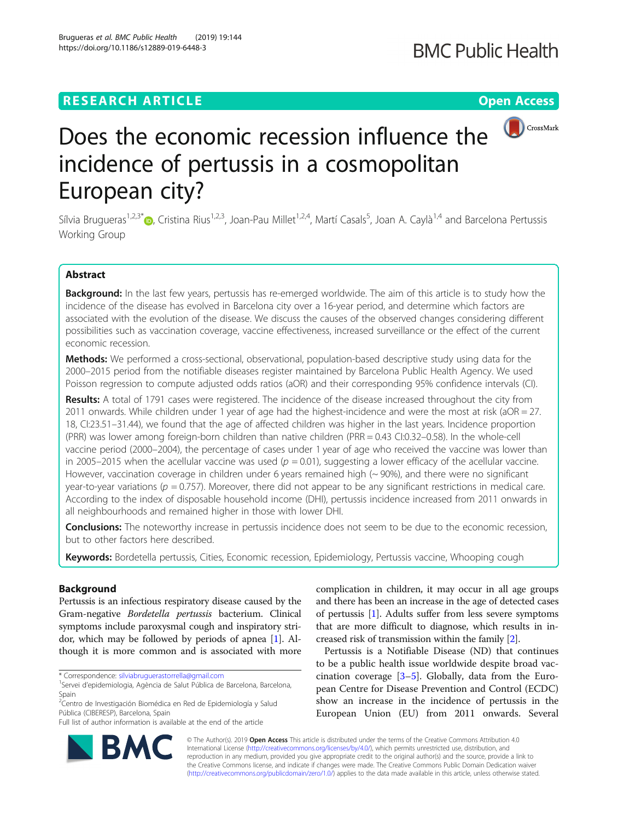## **RESEARCH ARTICLE Example 2018 12:30 THE Open Access**



# Does the economic recession influence the incidence of pertussis in a cosmopolitan European city?

Sílvia Brugueras<sup>1[,](http://orcid.org/0000-0001-6439-0050)2,3\*</sup>®, Cristina Rius<sup>1,2,3</sup>, Joan-Pau Millet<sup>1,2,4</sup>, Martí Casals<sup>5</sup>, Joan A. Caylà<sup>1,4</sup> and Barcelona Pertussis Working Group

## Abstract

Background: In the last few years, pertussis has re-emerged worldwide. The aim of this article is to study how the incidence of the disease has evolved in Barcelona city over a 16-year period, and determine which factors are associated with the evolution of the disease. We discuss the causes of the observed changes considering different possibilities such as vaccination coverage, vaccine effectiveness, increased surveillance or the effect of the current economic recession.

Methods: We performed a cross-sectional, observational, population-based descriptive study using data for the 2000–2015 period from the notifiable diseases register maintained by Barcelona Public Health Agency. We used Poisson regression to compute adjusted odds ratios (aOR) and their corresponding 95% confidence intervals (CI).

Results: A total of 1791 cases were registered. The incidence of the disease increased throughout the city from 2011 onwards. While children under 1 year of age had the highest-incidence and were the most at risk (aOR = 27. 18, CI:23.51–31.44), we found that the age of affected children was higher in the last years. Incidence proportion (PRR) was lower among foreign-born children than native children (PRR = 0.43 CI:0.32–0.58). In the whole-cell vaccine period (2000–2004), the percentage of cases under 1 year of age who received the vaccine was lower than in 2005–2015 when the acellular vaccine was used ( $p = 0.01$ ), suggesting a lower efficacy of the acellular vaccine. However, vaccination coverage in children under 6 years remained high (~90%), and there were no significant year-to-year variations ( $p = 0.757$ ). Moreover, there did not appear to be any significant restrictions in medical care. According to the index of disposable household income (DHI), pertussis incidence increased from 2011 onwards in all neighbourhoods and remained higher in those with lower DHI.

**Conclusions:** The noteworthy increase in pertussis incidence does not seem to be due to the economic recession, but to other factors here described.

Keywords: Bordetella pertussis, Cities, Economic recession, Epidemiology, Pertussis vaccine, Whooping cough

## Background

Pertussis is an infectious respiratory disease caused by the Gram-negative Bordetella pertussis bacterium. Clinical symptoms include paroxysmal cough and inspiratory stridor, which may be followed by periods of apnea [[1\]](#page-8-0). Although it is more common and is associated with more

\* Correspondence: [silviabruguerastorrella@gmail.com](mailto:silviabruguerastorrella@gmail.com) <sup>1</sup>

<sup>2</sup>Centro de Investigación Biomédica en Red de Epidemiología y Salud Pública (CIBERESP), Barcelona, Spain

Full list of author information is available at the end of the article



Pertussis is a Notifiable Disease (ND) that continues to be a public health issue worldwide despite broad vaccination coverage  $[3-5]$  $[3-5]$  $[3-5]$  $[3-5]$  $[3-5]$ . Globally, data from the European Centre for Disease Prevention and Control (ECDC) show an increase in the incidence of pertussis in the European Union (EU) from 2011 onwards. Several



© The Author(s). 2019 **Open Access** This article is distributed under the terms of the Creative Commons Attribution 4.0 International License [\(http://creativecommons.org/licenses/by/4.0/](http://creativecommons.org/licenses/by/4.0/)), which permits unrestricted use, distribution, and reproduction in any medium, provided you give appropriate credit to the original author(s) and the source, provide a link to the Creative Commons license, and indicate if changes were made. The Creative Commons Public Domain Dedication waiver [\(http://creativecommons.org/publicdomain/zero/1.0/](http://creativecommons.org/publicdomain/zero/1.0/)) applies to the data made available in this article, unless otherwise stated.

<sup>&</sup>lt;sup>1</sup>Servei d'epidemiologia, Agència de Salut Pública de Barcelona, Barcelona, Spain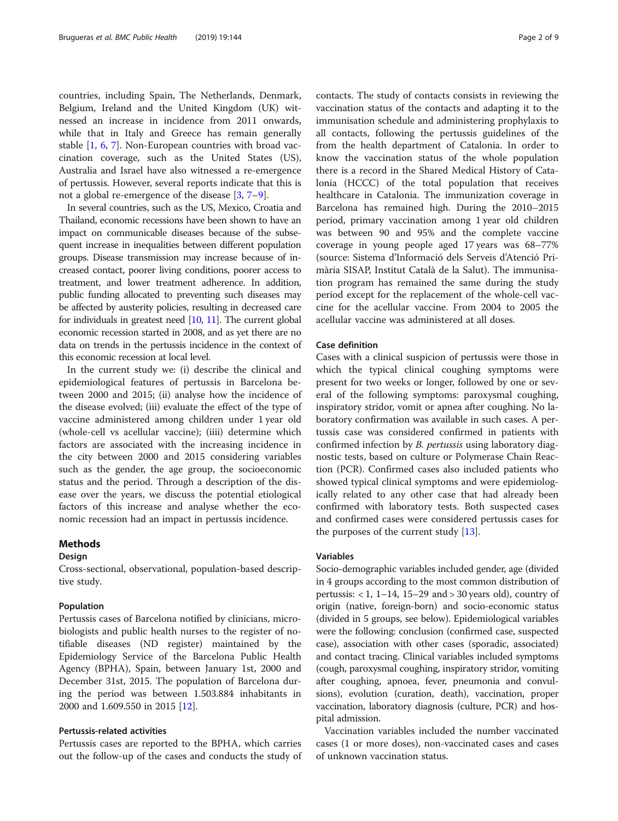countries, including Spain, The Netherlands, Denmark, Belgium, Ireland and the United Kingdom (UK) witnessed an increase in incidence from 2011 onwards, while that in Italy and Greece has remain generally stable [[1](#page-8-0), [6,](#page-8-0) [7](#page-8-0)]. Non-European countries with broad vaccination coverage, such as the United States (US), Australia and Israel have also witnessed a re-emergence of pertussis. However, several reports indicate that this is not a global re-emergence of the disease [\[3](#page-8-0), [7](#page-8-0)–[9\]](#page-8-0).

In several countries, such as the US, Mexico, Croatia and Thailand, economic recessions have been shown to have an impact on communicable diseases because of the subsequent increase in inequalities between different population groups. Disease transmission may increase because of increased contact, poorer living conditions, poorer access to treatment, and lower treatment adherence. In addition, public funding allocated to preventing such diseases may be affected by austerity policies, resulting in decreased care for individuals in greatest need [[10](#page-8-0), [11](#page-8-0)]. The current global economic recession started in 2008, and as yet there are no data on trends in the pertussis incidence in the context of this economic recession at local level.

In the current study we: (i) describe the clinical and epidemiological features of pertussis in Barcelona between 2000 and 2015; (ii) analyse how the incidence of the disease evolved; (iii) evaluate the effect of the type of vaccine administered among children under 1 year old (whole-cell vs acellular vaccine); (iiii) determine which factors are associated with the increasing incidence in the city between 2000 and 2015 considering variables such as the gender, the age group, the socioeconomic status and the period. Through a description of the disease over the years, we discuss the potential etiological factors of this increase and analyse whether the economic recession had an impact in pertussis incidence.

#### Methods

#### Design

Cross-sectional, observational, population-based descriptive study.

#### Population

Pertussis cases of Barcelona notified by clinicians, microbiologists and public health nurses to the register of notifiable diseases (ND register) maintained by the Epidemiology Service of the Barcelona Public Health Agency (BPHA), Spain, between January 1st, 2000 and December 31st, 2015. The population of Barcelona during the period was between 1.503.884 inhabitants in 2000 and 1.609.550 in 2015 [\[12](#page-8-0)].

## Pertussis-related activities

Pertussis cases are reported to the BPHA, which carries out the follow-up of the cases and conducts the study of contacts. The study of contacts consists in reviewing the vaccination status of the contacts and adapting it to the immunisation schedule and administering prophylaxis to all contacts, following the pertussis guidelines of the from the health department of Catalonia. In order to know the vaccination status of the whole population there is a record in the Shared Medical History of Catalonia (HCCC) of the total population that receives healthcare in Catalonia. The immunization coverage in Barcelona has remained high. During the 2010–2015 period, primary vaccination among 1 year old children was between 90 and 95% and the complete vaccine coverage in young people aged 17 years was 68–77% (source: Sistema d'Informació dels Serveis d'Atenció Primària SISAP, Institut Català de la Salut). The immunisation program has remained the same during the study period except for the replacement of the whole-cell vaccine for the acellular vaccine. From 2004 to 2005 the acellular vaccine was administered at all doses.

## Case definition

Cases with a clinical suspicion of pertussis were those in which the typical clinical coughing symptoms were present for two weeks or longer, followed by one or several of the following symptoms: paroxysmal coughing, inspiratory stridor, vomit or apnea after coughing. No laboratory confirmation was available in such cases. A pertussis case was considered confirmed in patients with confirmed infection by B. pertussis using laboratory diagnostic tests, based on culture or Polymerase Chain Reaction (PCR). Confirmed cases also included patients who showed typical clinical symptoms and were epidemiologically related to any other case that had already been confirmed with laboratory tests. Both suspected cases and confirmed cases were considered pertussis cases for the purposes of the current study [[13\]](#page-8-0).

#### Variables

Socio-demographic variables included gender, age (divided in 4 groups according to the most common distribution of pertussis:  $< 1$ , 1-14, 15-29 and  $> 30$  years old), country of origin (native, foreign-born) and socio-economic status (divided in 5 groups, see below). Epidemiological variables were the following: conclusion (confirmed case, suspected case), association with other cases (sporadic, associated) and contact tracing. Clinical variables included symptoms (cough, paroxysmal coughing, inspiratory stridor, vomiting after coughing, apnoea, fever, pneumonia and convulsions), evolution (curation, death), vaccination, proper vaccination, laboratory diagnosis (culture, PCR) and hospital admission.

Vaccination variables included the number vaccinated cases (1 or more doses), non-vaccinated cases and cases of unknown vaccination status.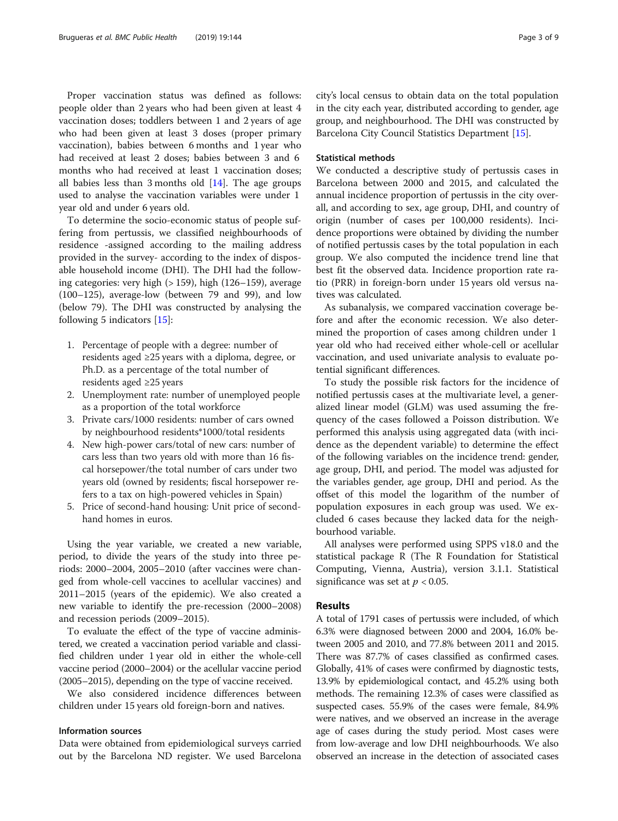Proper vaccination status was defined as follows: people older than 2 years who had been given at least 4 vaccination doses; toddlers between 1 and 2 years of age who had been given at least 3 doses (proper primary vaccination), babies between 6 months and 1 year who had received at least 2 doses; babies between 3 and 6 months who had received at least 1 vaccination doses; all babies less than 3 months old  $[14]$  $[14]$ . The age groups used to analyse the vaccination variables were under 1 year old and under 6 years old.

To determine the socio-economic status of people suffering from pertussis, we classified neighbourhoods of residence -assigned according to the mailing address provided in the survey- according to the index of disposable household income (DHI). The DHI had the following categories: very high (> 159), high (126–159), average (100–125), average-low (between 79 and 99), and low (below 79). The DHI was constructed by analysing the following 5 indicators [[15](#page-8-0)]:

- 1. Percentage of people with a degree: number of residents aged ≥25 years with a diploma, degree, or Ph.D. as a percentage of the total number of residents aged ≥25 years
- 2. Unemployment rate: number of unemployed people as a proportion of the total workforce
- 3. Private cars/1000 residents: number of cars owned by neighbourhood residents\*1000/total residents
- 4. New high-power cars/total of new cars: number of cars less than two years old with more than 16 fiscal horsepower/the total number of cars under two years old (owned by residents; fiscal horsepower refers to a tax on high-powered vehicles in Spain)
- 5. Price of second-hand housing: Unit price of secondhand homes in euros.

Using the year variable, we created a new variable, period, to divide the years of the study into three periods: 2000–2004, 2005–2010 (after vaccines were changed from whole-cell vaccines to acellular vaccines) and 2011–2015 (years of the epidemic). We also created a new variable to identify the pre-recession (2000–2008) and recession periods (2009–2015).

To evaluate the effect of the type of vaccine administered, we created a vaccination period variable and classified children under 1 year old in either the whole-cell vaccine period (2000–2004) or the acellular vaccine period (2005–2015), depending on the type of vaccine received.

We also considered incidence differences between children under 15 years old foreign-born and natives.

## Information sources

Data were obtained from epidemiological surveys carried out by the Barcelona ND register. We used Barcelona city's local census to obtain data on the total population in the city each year, distributed according to gender, age group, and neighbourhood. The DHI was constructed by Barcelona City Council Statistics Department [[15\]](#page-8-0).

## Statistical methods

We conducted a descriptive study of pertussis cases in Barcelona between 2000 and 2015, and calculated the annual incidence proportion of pertussis in the city overall, and according to sex, age group, DHI, and country of origin (number of cases per 100,000 residents). Incidence proportions were obtained by dividing the number of notified pertussis cases by the total population in each group. We also computed the incidence trend line that best fit the observed data. Incidence proportion rate ratio (PRR) in foreign-born under 15 years old versus natives was calculated.

As subanalysis, we compared vaccination coverage before and after the economic recession. We also determined the proportion of cases among children under 1 year old who had received either whole-cell or acellular vaccination, and used univariate analysis to evaluate potential significant differences.

To study the possible risk factors for the incidence of notified pertussis cases at the multivariate level, a generalized linear model (GLM) was used assuming the frequency of the cases followed a Poisson distribution. We performed this analysis using aggregated data (with incidence as the dependent variable) to determine the effect of the following variables on the incidence trend: gender, age group, DHI, and period. The model was adjusted for the variables gender, age group, DHI and period. As the offset of this model the logarithm of the number of population exposures in each group was used. We excluded 6 cases because they lacked data for the neighbourhood variable.

All analyses were performed using SPPS v18.0 and the statistical package R (The R Foundation for Statistical Computing, Vienna, Austria), version 3.1.1. Statistical significance was set at  $p < 0.05$ .

#### Results

A total of 1791 cases of pertussis were included, of which 6.3% were diagnosed between 2000 and 2004, 16.0% between 2005 and 2010, and 77.8% between 2011 and 2015. There was 87.7% of cases classified as confirmed cases. Globally, 41% of cases were confirmed by diagnostic tests, 13.9% by epidemiological contact, and 45.2% using both methods. The remaining 12.3% of cases were classified as suspected cases. 55.9% of the cases were female, 84.9% were natives, and we observed an increase in the average age of cases during the study period. Most cases were from low-average and low DHI neighbourhoods. We also observed an increase in the detection of associated cases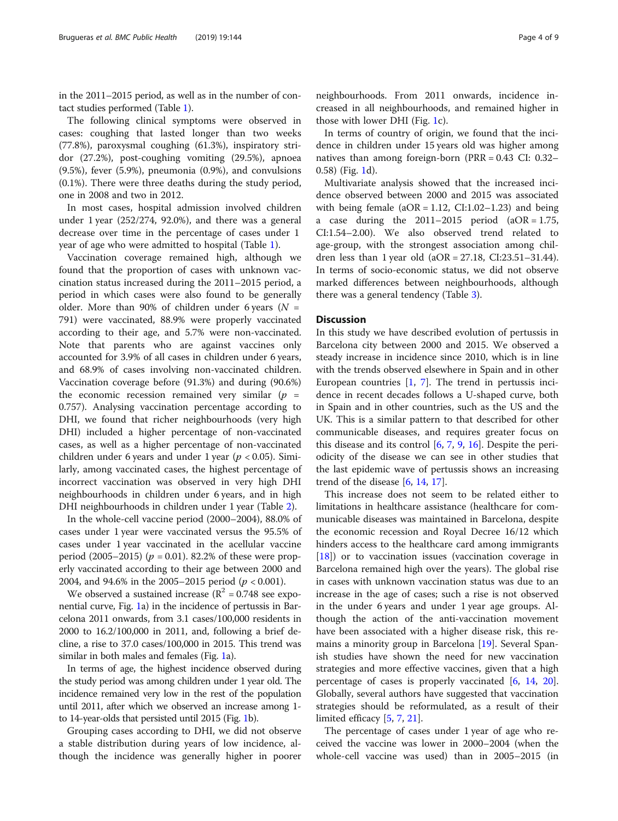in the 2011–2015 period, as well as in the number of contact studies performed (Table [1](#page-4-0)).

The following clinical symptoms were observed in cases: coughing that lasted longer than two weeks (77.8%), paroxysmal coughing (61.3%), inspiratory stridor (27.2%), post-coughing vomiting (29.5%), apnoea (9.5%), fever (5.9%), pneumonia (0.9%), and convulsions (0.1%). There were three deaths during the study period, one in 2008 and two in 2012.

In most cases, hospital admission involved children under 1 year (252/274, 92.0%), and there was a general decrease over time in the percentage of cases under 1 year of age who were admitted to hospital (Table [1](#page-4-0)).

Vaccination coverage remained high, although we found that the proportion of cases with unknown vaccination status increased during the 2011–2015 period, a period in which cases were also found to be generally older. More than 90% of children under 6 years ( $N =$ 791) were vaccinated, 88.9% were properly vaccinated according to their age, and 5.7% were non-vaccinated. Note that parents who are against vaccines only accounted for 3.9% of all cases in children under 6 years, and 68.9% of cases involving non-vaccinated children. Vaccination coverage before (91.3%) and during (90.6%) the economic recession remained very similar  $(p =$ 0.757). Analysing vaccination percentage according to DHI, we found that richer neighbourhoods (very high DHI) included a higher percentage of non-vaccinated cases, as well as a higher percentage of non-vaccinated children under 6 years and under 1 year ( $p < 0.05$ ). Similarly, among vaccinated cases, the highest percentage of incorrect vaccination was observed in very high DHI neighbourhoods in children under 6 years, and in high DHI neighbourhoods in children under 1 year (Table [2\)](#page-5-0).

In the whole-cell vaccine period (2000–2004), 88.0% of cases under 1 year were vaccinated versus the 95.5% of cases under 1 year vaccinated in the acellular vaccine period (2005–2015) ( $p = 0.01$ ). 82.2% of these were properly vaccinated according to their age between 2000 and 2004, and 94.6% in the 2005–2015 period ( $p < 0.001$ ).

We observed a sustained increase ( $\mathbb{R}^2$  = 0.748 see exponential curve, Fig. [1](#page-6-0)a) in the incidence of pertussis in Barcelona 2011 onwards, from 3.1 cases/100,000 residents in 2000 to 16.2/100,000 in 2011, and, following a brief decline, a rise to 37.0 cases/100,000 in 2015. This trend was similar in both males and females (Fig. [1](#page-6-0)a).

In terms of age, the highest incidence observed during the study period was among children under 1 year old. The incidence remained very low in the rest of the population until 2011, after which we observed an increase among 1 to 14-year-olds that persisted until 2015 (Fig. [1](#page-6-0)b).

Grouping cases according to DHI, we did not observe a stable distribution during years of low incidence, although the incidence was generally higher in poorer

neighbourhoods. From 2011 onwards, incidence increased in all neighbourhoods, and remained higher in those with lower DHI (Fig. [1](#page-6-0)c).

In terms of country of origin, we found that the incidence in children under 15 years old was higher among natives than among foreign-born (PRR = 0.43 CI: 0.32– 0.58) (Fig. [1](#page-6-0)d).

Multivariate analysis showed that the increased incidence observed between 2000 and 2015 was associated with being female  $(aOR = 1.12, CI:1.02-1.23)$  and being a case during the  $2011-2015$  period  $(aOR = 1.75,$ CI:1.54–2.00). We also observed trend related to age-group, with the strongest association among children less than 1 year old  $(aOR = 27.18, CI:23.51-31.44)$ . In terms of socio-economic status, we did not observe marked differences between neighbourhoods, although there was a general tendency (Table [3](#page-6-0)).

#### **Discussion**

In this study we have described evolution of pertussis in Barcelona city between 2000 and 2015. We observed a steady increase in incidence since 2010, which is in line with the trends observed elsewhere in Spain and in other European countries  $\left[1, 7\right]$  $\left[1, 7\right]$  $\left[1, 7\right]$  $\left[1, 7\right]$  $\left[1, 7\right]$ . The trend in pertussis incidence in recent decades follows a U-shaped curve, both in Spain and in other countries, such as the US and the UK. This is a similar pattern to that described for other communicable diseases, and requires greater focus on this disease and its control  $[6, 7, 9, 16]$  $[6, 7, 9, 16]$  $[6, 7, 9, 16]$  $[6, 7, 9, 16]$  $[6, 7, 9, 16]$  $[6, 7, 9, 16]$  $[6, 7, 9, 16]$  $[6, 7, 9, 16]$  $[6, 7, 9, 16]$ . Despite the periodicity of the disease we can see in other studies that the last epidemic wave of pertussis shows an increasing trend of the disease  $[6, 14, 17]$  $[6, 14, 17]$  $[6, 14, 17]$  $[6, 14, 17]$  $[6, 14, 17]$  $[6, 14, 17]$ .

This increase does not seem to be related either to limitations in healthcare assistance (healthcare for communicable diseases was maintained in Barcelona, despite the economic recession and Royal Decree 16/12 which hinders access to the healthcare card among immigrants [[18\]](#page-8-0)) or to vaccination issues (vaccination coverage in Barcelona remained high over the years). The global rise in cases with unknown vaccination status was due to an increase in the age of cases; such a rise is not observed in the under 6 years and under 1 year age groups. Although the action of the anti-vaccination movement have been associated with a higher disease risk, this remains a minority group in Barcelona [\[19\]](#page-8-0). Several Spanish studies have shown the need for new vaccination strategies and more effective vaccines, given that a high percentage of cases is properly vaccinated [\[6](#page-8-0), [14](#page-8-0), [20](#page-8-0)]. Globally, several authors have suggested that vaccination strategies should be reformulated, as a result of their limited efficacy [[5,](#page-8-0) [7,](#page-8-0) [21](#page-8-0)].

The percentage of cases under 1 year of age who received the vaccine was lower in 2000–2004 (when the whole-cell vaccine was used) than in 2005–2015 (in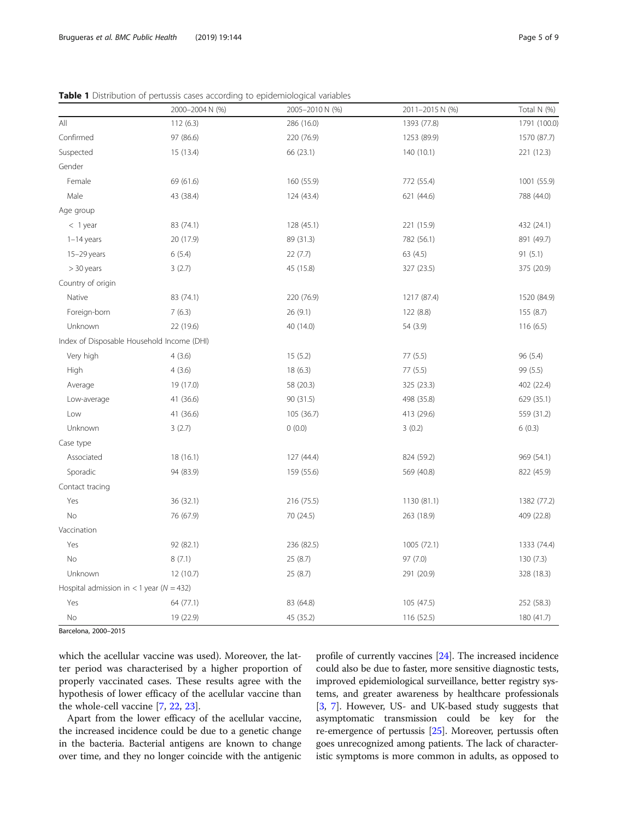|                                              | 2000-2004 N (%) | 2005-2010 N (%) | 2011-2015 N (%) | Total N (%)  |
|----------------------------------------------|-----------------|-----------------|-----------------|--------------|
| All                                          | 112(6.3)        | 286 (16.0)      | 1393 (77.8)     | 1791 (100.0) |
| Confirmed                                    | 97 (86.6)       | 220 (76.9)      | 1253 (89.9)     | 1570 (87.7)  |
| Suspected                                    | 15 (13.4)       | 66 (23.1)       | 140 (10.1)      | 221 (12.3)   |
| Gender                                       |                 |                 |                 |              |
| Female                                       | 69 (61.6)       | 160 (55.9)      | 772 (55.4)      | 1001 (55.9)  |
| Male                                         | 43 (38.4)       | 124 (43.4)      | 621 (44.6)      | 788 (44.0)   |
| Age group                                    |                 |                 |                 |              |
| $<$ 1 year                                   | 83 (74.1)       | 128 (45.1)      | 221 (15.9)      | 432 (24.1)   |
| $1-14$ years                                 | 20 (17.9)       | 89 (31.3)       | 782 (56.1)      | 891 (49.7)   |
| 15-29 years                                  | 6(5.4)          | 22(7.7)         | 63 (4.5)        | 91(5.1)      |
| $> 30$ years                                 | 3(2.7)          | 45 (15.8)       | 327 (23.5)      | 375 (20.9)   |
| Country of origin                            |                 |                 |                 |              |
| Native                                       | 83 (74.1)       | 220 (76.9)      | 1217 (87.4)     | 1520 (84.9)  |
| Foreign-born                                 | 7(6.3)          | 26 (9.1)        | 122 (8.8)       | 155 (8.7)    |
| Unknown                                      | 22 (19.6)       | 40 (14.0)       | 54 (3.9)        | 116(6.5)     |
| Index of Disposable Household Income (DHI)   |                 |                 |                 |              |
| Very high                                    | 4(3.6)          | 15(5.2)         | 77 (5.5)        | 96 (5.4)     |
| High                                         | 4(3.6)          | 18(6.3)         | 77 (5.5)        | 99 (5.5)     |
| Average                                      | 19 (17.0)       | 58 (20.3)       | 325 (23.3)      | 402 (22.4)   |
| Low-average                                  | 41 (36.6)       | 90 (31.5)       | 498 (35.8)      | 629 (35.1)   |
| Low                                          | 41 (36.6)       | 105 (36.7)      | 413 (29.6)      | 559 (31.2)   |
| Unknown                                      | 3(2.7)          | 0(0.0)          | 3(0.2)          | 6(0.3)       |
| Case type                                    |                 |                 |                 |              |
| Associated                                   | 18(16.1)        | 127 (44.4)      | 824 (59.2)      | 969 (54.1)   |
| Sporadic                                     | 94 (83.9)       | 159 (55.6)      | 569 (40.8)      | 822 (45.9)   |
| Contact tracing                              |                 |                 |                 |              |
| Yes                                          | 36 (32.1)       | 216 (75.5)      | 1130 (81.1)     | 1382 (77.2)  |
| No                                           | 76 (67.9)       | 70 (24.5)       | 263 (18.9)      | 409 (22.8)   |
| Vaccination                                  |                 |                 |                 |              |
| Yes                                          | 92 (82.1)       | 236 (82.5)      | 1005 (72.1)     | 1333 (74.4)  |
| No                                           | 8(7.1)          | 25 (8.7)        | 97 (7.0)        | 130(7.3)     |
| Unknown                                      | 12 (10.7)       | 25 (8.7)        | 291 (20.9)      | 328 (18.3)   |
| Hospital admission in < 1 year ( $N = 432$ ) |                 |                 |                 |              |
| Yes                                          | 64 (77.1)       | 83 (64.8)       | 105 (47.5)      | 252 (58.3)   |
| No                                           | 19 (22.9)       | 45 (35.2)       | 116 (52.5)      | 180 (41.7)   |

<span id="page-4-0"></span>Table 1 Distribution of pertussis cases according to epidemiological variables

Barcelona, 2000–2015

which the acellular vaccine was used). Moreover, the latter period was characterised by a higher proportion of properly vaccinated cases. These results agree with the hypothesis of lower efficacy of the acellular vaccine than the whole-cell vaccine [\[7](#page-8-0), [22](#page-8-0), [23](#page-8-0)].

Apart from the lower efficacy of the acellular vaccine, the increased incidence could be due to a genetic change in the bacteria. Bacterial antigens are known to change over time, and they no longer coincide with the antigenic

profile of currently vaccines [\[24\]](#page-8-0). The increased incidence could also be due to faster, more sensitive diagnostic tests, improved epidemiological surveillance, better registry systems, and greater awareness by healthcare professionals [[3,](#page-8-0) [7](#page-8-0)]. However, US- and UK-based study suggests that asymptomatic transmission could be key for the re-emergence of pertussis [\[25\]](#page-8-0). Moreover, pertussis often goes unrecognized among patients. The lack of characteristic symptoms is more common in adults, as opposed to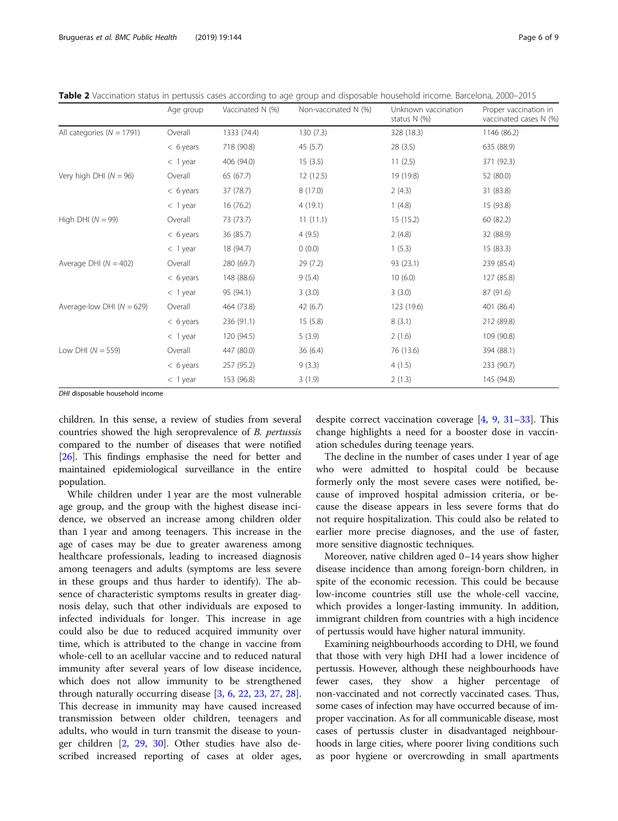<span id="page-5-0"></span>

| Table 2 Vaccination status in pertussis cases according to age group and disposable household income. Barcelona, 2000–2015 |  |
|----------------------------------------------------------------------------------------------------------------------------|--|
|----------------------------------------------------------------------------------------------------------------------------|--|

|                               | Age group   | Vaccinated N (%) | Non-vaccinated N (%) | Unknown vaccination<br>status $N$ (%) | Proper vaccination in<br>vaccinated cases N (%) |
|-------------------------------|-------------|------------------|----------------------|---------------------------------------|-------------------------------------------------|
| All categories ( $N = 1791$ ) | Overall     | 1333 (74.4)      | 130(7.3)             | 328 (18.3)                            | 1146 (86.2)                                     |
|                               | $< 6$ years | 718 (90.8)       | 45(5.7)              | 28(3.5)                               | 635 (88.9)                                      |
|                               | $<$ 1 year  | 406 (94.0)       | 15(3.5)              | 11(2.5)                               | 371 (92.3)                                      |
| Very high DHI $(N = 96)$      | Overall     | 65 (67.7)        | 12(12.5)             | 19 (19.8)                             | 52 (80.0)                                       |
|                               | $< 6$ years | 37 (78.7)        | 8(17.0)              | 2(4.3)                                | 31 (83.8)                                       |
|                               | $<$ 1 year  | 16 (76.2)        | 4(19.1)              | 1(4.8)                                | 15 (93.8)                                       |
| High DHI $(N = 99)$           | Overall     | 73 (73.7)        | 11(11.1)             | 15(15.2)                              | 60 (82.2)                                       |
|                               | $< 6$ years | 36 (85.7)        | 4(9.5)               | 2(4.8)                                | 32 (88.9)                                       |
|                               | $<$ 1 year  | 18 (94.7)        | 0(0.0)               | 1(5.3)                                | 15(83.3)                                        |
| Average DHI $(N = 402)$       | Overall     | 280 (69.7)       | 29(7.2)              | 93 (23.1)                             | 239 (85.4)                                      |
|                               | $< 6$ years | 148 (88.6)       | 9(5.4)               | 10(6.0)                               | 127 (85.8)                                      |
|                               | $<$ 1 year  | 95 (94.1)        | 3(3.0)               | 3(3.0)                                | 87 (91.6)                                       |
| Average-low DHI ( $N = 629$ ) | Overall     | 464 (73.8)       | 42(6.7)              | 123 (19.6)                            | 401 (86.4)                                      |
|                               | $< 6$ years | 236 (91.1)       | 15(5.8)              | 8(3.1)                                | 212 (89.8)                                      |
|                               | $<$ 1 year  | 120 (94.5)       | 5(3.9)               | 2(1.6)                                | 109 (90.8)                                      |
| Low DHI $(N = 559)$           | Overall     | 447 (80.0)       | 36(6.4)              | 76 (13.6)                             | 394 (88.1)                                      |
|                               | $< 6$ years | 257 (95.2)       | 9(3.3)               | 4(1.5)                                | 233 (90.7)                                      |
|                               | $<$ 1 year  | 153 (96.8)       | 3(1.9)               | 2(1.3)                                | 145 (94.8)                                      |

DHI disposable household income

children. In this sense, a review of studies from several countries showed the high seroprevalence of B. pertussis compared to the number of diseases that were notified [[26](#page-8-0)]. This findings emphasise the need for better and maintained epidemiological surveillance in the entire population.

While children under 1 year are the most vulnerable age group, and the group with the highest disease incidence, we observed an increase among children older than 1 year and among teenagers. This increase in the age of cases may be due to greater awareness among healthcare professionals, leading to increased diagnosis among teenagers and adults (symptoms are less severe in these groups and thus harder to identify). The absence of characteristic symptoms results in greater diagnosis delay, such that other individuals are exposed to infected individuals for longer. This increase in age could also be due to reduced acquired immunity over time, which is attributed to the change in vaccine from whole-cell to an acellular vaccine and to reduced natural immunity after several years of low disease incidence, which does not allow immunity to be strengthened through naturally occurring disease [\[3](#page-8-0), [6](#page-8-0), [22,](#page-8-0) [23,](#page-8-0) [27](#page-8-0), [28](#page-8-0)]. This decrease in immunity may have caused increased transmission between older children, teenagers and adults, who would in turn transmit the disease to younger children [\[2](#page-8-0), [29,](#page-8-0) [30](#page-8-0)]. Other studies have also described increased reporting of cases at older ages, despite correct vaccination coverage [[4](#page-8-0), [9](#page-8-0), [31](#page-8-0)–[33](#page-8-0)]. This change highlights a need for a booster dose in vaccination schedules during teenage years.

The decline in the number of cases under 1 year of age who were admitted to hospital could be because formerly only the most severe cases were notified, because of improved hospital admission criteria, or because the disease appears in less severe forms that do not require hospitalization. This could also be related to earlier more precise diagnoses, and the use of faster, more sensitive diagnostic techniques.

Moreover, native children aged 0–14 years show higher disease incidence than among foreign-born children, in spite of the economic recession. This could be because low-income countries still use the whole-cell vaccine, which provides a longer-lasting immunity. In addition, immigrant children from countries with a high incidence of pertussis would have higher natural immunity.

Examining neighbourhoods according to DHI, we found that those with very high DHI had a lower incidence of pertussis. However, although these neighbourhoods have fewer cases, they show a higher percentage of non-vaccinated and not correctly vaccinated cases. Thus, some cases of infection may have occurred because of improper vaccination. As for all communicable disease, most cases of pertussis cluster in disadvantaged neighbourhoods in large cities, where poorer living conditions such as poor hygiene or overcrowding in small apartments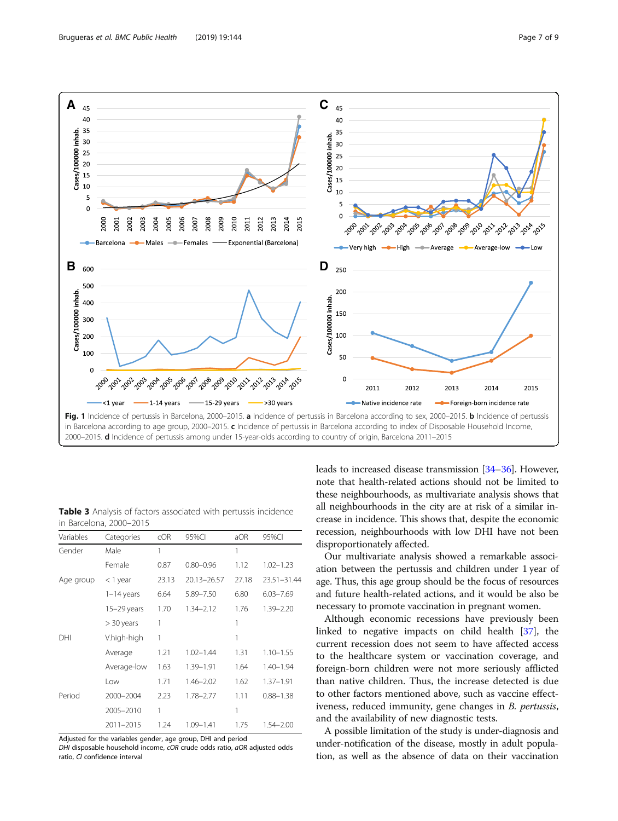<span id="page-6-0"></span>

Table 3 Analysis of factors associated with pertussis incidence in Barcelona, 2000–2015

| Variables | Categories    | cOR   | 95%CI         | aOR   | 95%CI         |
|-----------|---------------|-------|---------------|-------|---------------|
| Gender    | Male          | 1     |               | 1     |               |
|           | Female        | 0.87  | $0.80 - 0.96$ | 1.12  | $1.02 - 1.23$ |
| Age group | $<$ 1 year    | 23.13 | 20.13-26.57   | 27.18 | 23.51-31.44   |
|           | $1-14$ years  | 6.64  | 5.89-7.50     | 6.80  | $6.03 - 7.69$ |
|           | $15-29$ years | 1.70  | $1.34 - 2.12$ | 1.76  | $1.39 - 2.20$ |
|           | $>$ 30 years  | 1     |               | 1     |               |
| DHI       | V.high-high   | 1     |               | 1     |               |
|           | Average       | 1.21  | $1.02 - 1.44$ | 1.31  | $1.10 - 1.55$ |
|           | Average-low   | 1.63  | 1.39-1.91     | 1.64  | $1.40 - 1.94$ |
|           | Low           | 1.71  | $1.46 - 2.02$ | 1.62  | $1.37 - 1.91$ |
| Period    | 2000-2004     | 2.23  | $1.78 - 2.77$ | 1.11  | $0.88 - 1.38$ |
|           | 2005-2010     | 1     |               |       |               |
|           | 2011-2015     | 1.24  | $1.09 - 1.41$ | 1.75  | 1.54-2.00     |

Adjusted for the variables gender, age group, DHI and period DHI disposable household income, cOR crude odds ratio, aOR adjusted odds ratio, CI confidence interval

leads to increased disease transmission [[34](#page-8-0)–[36\]](#page-8-0). However, note that health-related actions should not be limited to these neighbourhoods, as multivariate analysis shows that all neighbourhoods in the city are at risk of a similar increase in incidence. This shows that, despite the economic recession, neighbourhoods with low DHI have not been disproportionately affected.

Our multivariate analysis showed a remarkable association between the pertussis and children under 1 year of age. Thus, this age group should be the focus of resources and future health-related actions, and it would be also be necessary to promote vaccination in pregnant women.

Although economic recessions have previously been linked to negative impacts on child health [[37](#page-8-0)], the current recession does not seem to have affected access to the healthcare system or vaccination coverage, and foreign-born children were not more seriously afflicted than native children. Thus, the increase detected is due to other factors mentioned above, such as vaccine effectiveness, reduced immunity, gene changes in B. pertussis, and the availability of new diagnostic tests.

A possible limitation of the study is under-diagnosis and under-notification of the disease, mostly in adult population, as well as the absence of data on their vaccination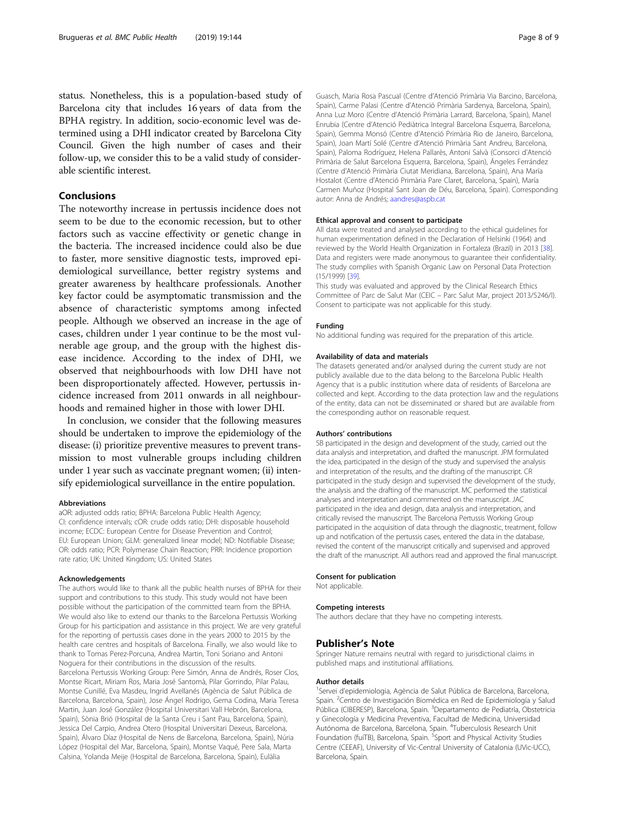status. Nonetheless, this is a population-based study of Barcelona city that includes 16 years of data from the BPHA registry. In addition, socio-economic level was determined using a DHI indicator created by Barcelona City Council. Given the high number of cases and their follow-up, we consider this to be a valid study of considerable scientific interest.

## Conclusions

The noteworthy increase in pertussis incidence does not seem to be due to the economic recession, but to other factors such as vaccine effectivity or genetic change in the bacteria. The increased incidence could also be due to faster, more sensitive diagnostic tests, improved epidemiological surveillance, better registry systems and greater awareness by healthcare professionals. Another key factor could be asymptomatic transmission and the absence of characteristic symptoms among infected people. Although we observed an increase in the age of cases, children under 1 year continue to be the most vulnerable age group, and the group with the highest disease incidence. According to the index of DHI, we observed that neighbourhoods with low DHI have not been disproportionately affected. However, pertussis incidence increased from 2011 onwards in all neighbourhoods and remained higher in those with lower DHI.

In conclusion, we consider that the following measures should be undertaken to improve the epidemiology of the disease: (i) prioritize preventive measures to prevent transmission to most vulnerable groups including children under 1 year such as vaccinate pregnant women; (ii) intensify epidemiological surveillance in the entire population.

#### Abbreviations

aOR: adjusted odds ratio; BPHA: Barcelona Public Health Agency; CI: confidence intervals; cOR: crude odds ratio; DHI: disposable household income; ECDC: European Centre for Disease Prevention and Control; EU: European Union; GLM: generalized linear model; ND: Notifiable Disease; OR: odds ratio; PCR: Polymerase Chain Reaction; PRR: Incidence proportion rate ratio; UK: United Kingdom; US: United States

#### Acknowledgements

The authors would like to thank all the public health nurses of BPHA for their support and contributions to this study. This study would not have been possible without the participation of the committed team from the BPHA. We would also like to extend our thanks to the Barcelona Pertussis Working Group for his participation and assistance in this project. We are very grateful for the reporting of pertussis cases done in the years 2000 to 2015 by the health care centres and hospitals of Barcelona. Finally, we also would like to thank to Tomas Perez-Porcuna, Andrea Martin, Toni Soriano and Antoni Noguera for their contributions in the discussion of the results. Barcelona Pertussis Working Group: Pere Simón, Anna de Andrés, Roser Clos, Montse Ricart, Miriam Ros, Maria José Santomà, Pilar Gorrindo, Pilar Palau, Montse Cunillé, Eva Masdeu, Ingrid Avellanés (Agència de Salut Pública de Barcelona, Barcelona, Spain), Jose Ángel Rodrigo, Gema Codina, Maria Teresa Martin, Juan José González (Hospital Universitari Vall Hebrón, Barcelona, Spain), Sònia Brió (Hospital de la Santa Creu i Sant Pau, Barcelona, Spain), Jessica Del Carpio, Andrea Otero (Hospital Universitari Dexeus, Barcelona, Spain), Álvaro Díaz (Hospital de Nens de Barcelona, Barcelona, Spain), Núria López (Hospital del Mar, Barcelona, Spain), Montse Vaqué, Pere Sala, Marta Calsina, Yolanda Meije (Hospital de Barcelona, Barcelona, Spain), Eulàlia

Guasch, Maria Rosa Pascual (Centre d'Atenció Primària Via Barcino, Barcelona, Spain), Carme Palasi (Centre d'Atenció Primària Sardenya, Barcelona, Spain), Anna Luz Moro (Centre d'Atenció Primària Larrard, Barcelona, Spain), Manel Enrubia (Centre d'Atenció Pediàtrica Integral Barcelona Esquerra, Barcelona, Spain), Gemma Monsó (Centre d'Atenció Primària Rio de Janeiro, Barcelona, Spain), Joan Martí Solé (Centre d'Atenció Primària Sant Andreu, Barcelona, Spain), Paloma Rodríguez, Helena Pallarès, Antoni Salvà (Consorci d'Atenció Primària de Salut Barcelona Esquerra, Barcelona, Spain), Ángeles Ferrández (Centre d'Atenció Primària Ciutat Meridiana, Barcelona, Spain), Ana María Hostalot (Centre d'Atenció Primària Pare Claret, Barcelona, Spain), María Carmen Muñoz (Hospital Sant Joan de Déu, Barcelona, Spain). Corresponding autor: Anna de Andrés; [aandres@aspb.cat](mailto:aandres@aspb.cat)

#### Ethical approval and consent to participate

All data were treated and analysed according to the ethical guidelines for human experimentation defined in the Declaration of Helsinki (1964) and reviewed by the World Health Organization in Fortaleza (Brazil) in 2013 [\[38](#page-8-0)]. Data and registers were made anonymous to guarantee their confidentiality. The study complies with Spanish Organic Law on Personal Data Protection (15/1999) [\[39](#page-8-0)].

This study was evaluated and approved by the Clinical Research Ethics Committee of Parc de Salut Mar (CEIC – Parc Salut Mar, project 2013/5246/I). Consent to participate was not applicable for this study.

#### Funding

No additional funding was required for the preparation of this article.

#### Availability of data and materials

The datasets generated and/or analysed during the current study are not publicly available due to the data belong to the Barcelona Public Health Agency that is a public institution where data of residents of Barcelona are collected and kept. According to the data protection law and the regulations of the entity, data can not be disseminated or shared but are available from the corresponding author on reasonable request.

#### Authors' contributions

SB participated in the design and development of the study, carried out the data analysis and interpretation, and drafted the manuscript. JPM formulated the idea, participated in the design of the study and supervised the analysis and interpretation of the results, and the drafting of the manuscript. CR participated in the study design and supervised the development of the study, the analysis and the drafting of the manuscript. MC performed the statistical analyses and interpretation and commented on the manuscript. JAC participated in the idea and design, data analysis and interpretation, and critically revised the manuscript. The Barcelona Pertussis Working Group participated in the acquisition of data through the diagnostic, treatment, follow up and notification of the pertussis cases, entered the data in the database, revised the content of the manuscript critically and supervised and approved the draft of the manuscript. All authors read and approved the final manuscript.

#### Consent for publication

Not applicable.

#### Competing interests

The authors declare that they have no competing interests.

## Publisher's Note

Springer Nature remains neutral with regard to jurisdictional claims in published maps and institutional affiliations.

#### Author details

<sup>1</sup>Servei d'epidemiologia, Agència de Salut Pública de Barcelona, Barcelona, Spain. <sup>2</sup>Centro de Investigación Biomédica en Red de Epidemiología y Salud Pública (CIBERESP), Barcelona, Spain. <sup>3</sup>Departamento de Pediatría, Obstetricia y Ginecología y Medicina Preventiva, Facultad de Medicina, Universidad .<br>Autónoma de Barcelona, Barcelona, Spain. <sup>4</sup>Tuberculosis Research Unit Foundation (fuiTB), Barcelona, Spain. <sup>5</sup>Sport and Physical Activity Studies Centre (CEEAF), University of Vic-Central University of Catalonia (UVic-UCC), Barcelona, Spain.